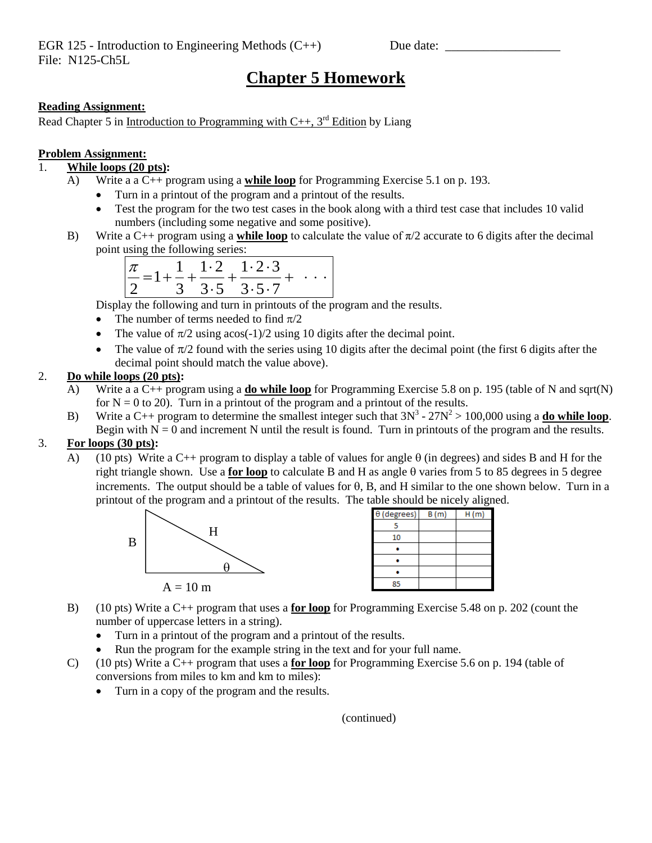EGR 125 - Introduction to Engineering Methods  $(C++)$  Due date: File: N125-Ch5L

# **Chapter 5 Homework**

### **Reading Assignment:**

Read Chapter 5 in Introduction to Programming with  $C_{++}$ , 3<sup>rd</sup> Edition by Liang

#### **Problem Assignment:**

## 1. **While loops (20 pts):**

- A) Write a a C++ program using a **while loop** for Programming Exercise 5.1 on p. 193.
	- Turn in a printout of the program and a printout of the results.
	- Test the program for the two test cases in the book along with a third test case that includes 10 valid numbers (including some negative and some positive).
- B) Write a C++ program using a **while loop** to calculate the value of π/2 accurate to 6 digits after the decimal point using the following series:

|  | $\frac{\pi}{2} = 1 + \frac{1}{3} + \frac{1 \cdot 2}{3 \cdot 5} + \frac{1 \cdot 2 \cdot 3}{3 \cdot 5 \cdot 7} +$ |  |  |
|--|-----------------------------------------------------------------------------------------------------------------|--|--|
|  |                                                                                                                 |  |  |

Display the following and turn in printouts of the program and the results.

- The number of terms needed to find  $\pi/2$
- The value of  $\pi/2$  using acos(-1)/2 using 10 digits after the decimal point.
- The value of  $\pi/2$  found with the series using 10 digits after the decimal point (the first 6 digits after the decimal point should match the value above).

#### 2. **Do while loops (20 pts):**

- A) Write a a C++ program using a **do while loop** for Programming Exercise 5.8 on p. 195 (table of N and sqrt(N) for  $N = 0$  to 20). Turn in a printout of the program and a printout of the results.
- B) Write a C++ program to determine the smallest integer such that  $3N^3 27N^2 > 100,000$  using a **do while loop**. Begin with  $N = 0$  and increment N until the result is found. Turn in printouts of the program and the results.

### 3. **For loops (30 pts):**

A) (10 pts) Write a C++ program to display a table of values for angle  $\theta$  (in degrees) and sides B and H for the right triangle shown. Use a **for loop** to calculate B and H as angle  $\theta$  varies from 5 to 85 degrees in 5 degree increments. The output should be a table of values for  $\theta$ , B, and H similar to the one shown below. Turn in a printout of the program and a printout of the results. The table should be nicely aligned.



|                    |      | ┙<br>ັ |
|--------------------|------|--------|
| $\theta$ (degrees) | B(m) | H(m)   |
| 5                  |      |        |
| 10                 |      |        |
|                    |      |        |
|                    |      |        |
|                    |      |        |
| 85                 |      |        |

- B) (10 pts) Write a C++ program that uses a **for loop** for Programming Exercise 5.48 on p. 202 (count the number of uppercase letters in a string).
	- Turn in a printout of the program and a printout of the results.
	- Run the program for the example string in the text and for your full name.
- C) (10 pts) Write a C++ program that uses a **for loop** for Programming Exercise 5.6 on p. 194 (table of conversions from miles to km and km to miles):
	- Turn in a copy of the program and the results.

(continued)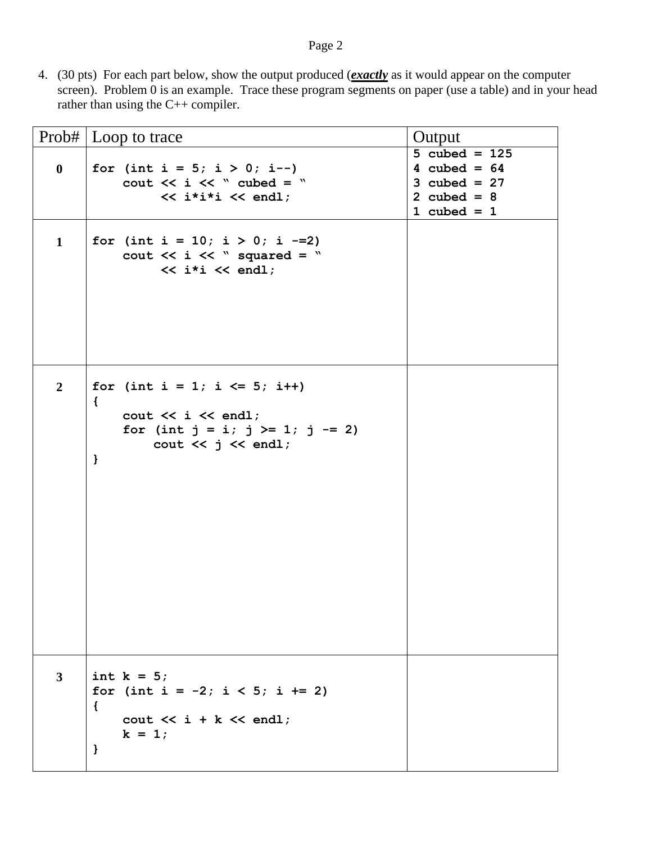## Page 2

4. (30 pts) For each part below, show the output produced (*exactly* as it would appear on the computer screen). Problem 0 is an example. Trace these program segments on paper (use a table) and in your head rather than using the C++ compiler.

|                | Prob#   Loop to trace                                                                                                                                              | Output                                                                                |
|----------------|--------------------------------------------------------------------------------------------------------------------------------------------------------------------|---------------------------------------------------------------------------------------|
| $\bf{0}$       | for (int i = $5; i > 0; i--$ )<br>cout $<<$ i $<<$ " cubed = "<br>$\lt\lt$ i*i*i $\lt\lt$ endl;                                                                    | 5 cubed = $125$<br>4 cubed = $64$<br>3 cubed = $27$<br>2 cubed = $8$<br>1 cubed = $1$ |
| $\mathbf{1}$   | for (int i = 10; i > 0; i -= 2)<br>cout $\lt\lt i \lt\lt$ " squared = "<br>$\lt\lt$ i*i $\lt\lt$ endl;                                                             |                                                                                       |
| $\overline{2}$ | for (int i = 1; i $\le$ 5; i++)<br>$\{$<br>$\text{cut} \ll i \ll \text{end}$ ;<br>for (int $j = i$ ; $j \ge 1$ ; $j == 2$ )<br>cout $\lt\lt$ j $\lt\lt$ endl;<br>} |                                                                                       |
| $3^{\circ}$    | int $k = 5$ ;<br>for (int i = $-2$ ; i < 5; i += 2)<br>$\mathcal{L}$<br>cout $\lt\lt i + k \lt\lt \text{endl}$ ;<br>$k = 1;$<br>$\mathbf{r}$                       |                                                                                       |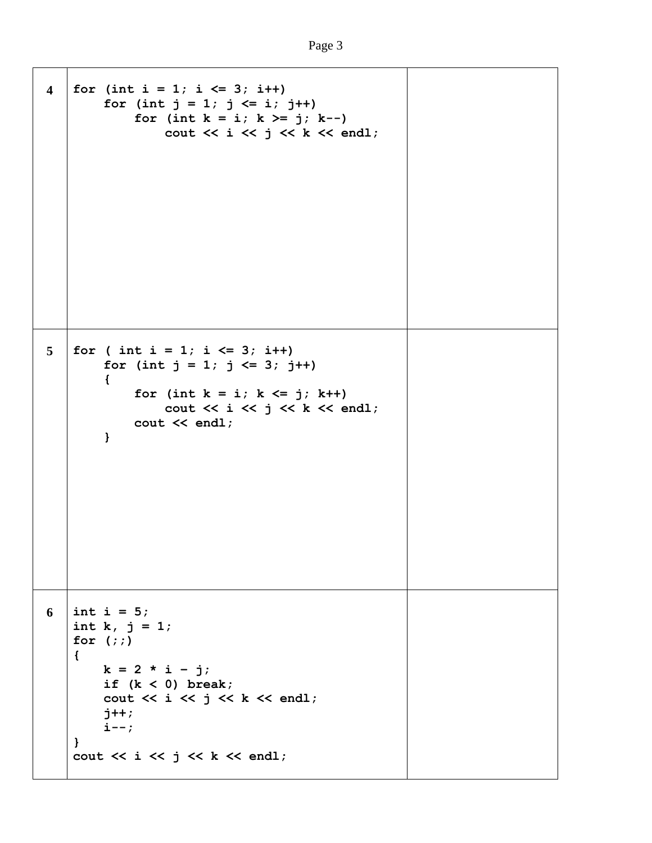```
4 \vert for (int i = 1; i <= 3; i++)
        for (int j = 1; j \le i; j++)for (int k = i; k \ge j; k - j)
                 cout << i << j << k << endl;
5 \mid \text{for} \text{ (int } i = 1; i \leq 3; i++)for (int j = 1; j \le 3; j++) {
             for (int k = i; k \le j; k++)
                 cout << i << j << k << endl;
              cout << endl;
         }
6 \mid \text{int } i = 5;int k, j = 1;
    for (;;)
    {
        k = 2 * i - j; if (k < 0) break;
        cout \ll i \ll j \ll k \ll endl;
         j++;
         i--;
    }
   cout << i << j << k << endl;
```